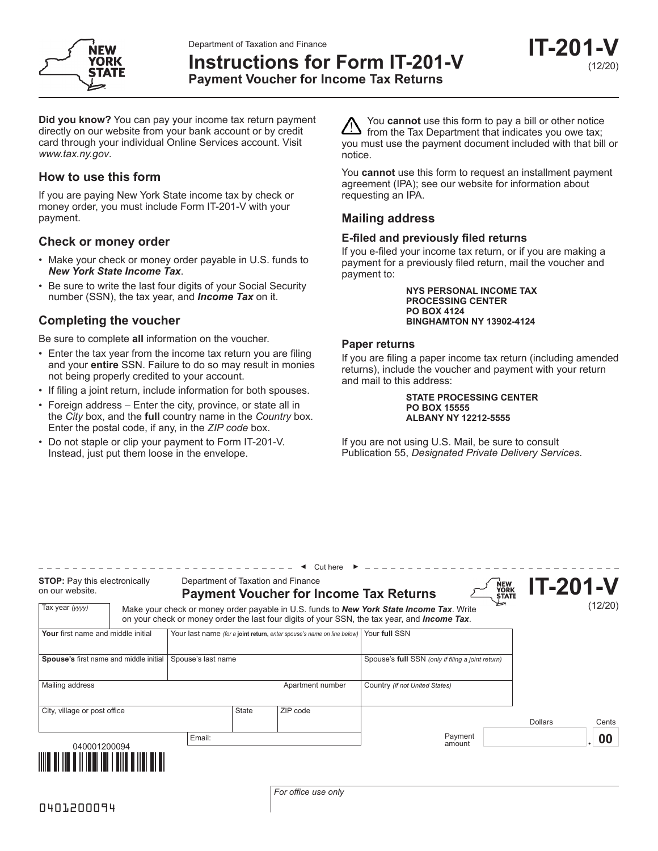Department of Taxation and Finance



**Instructions for Form IT-201-V**

**IT-201-V** (12/20)

**Payment Voucher for Income Tax Returns**

**Did you know?** You can pay your income tax return payment directly on our website from your bank account or by credit card through your individual Online Services account. Visit *www.tax.ny.gov*.

# **How to use this form**

If you are paying New York State income tax by check or money order, you must include Form IT-201-V with your payment.

## **Check or money order**

- Make your check or money order payable in U.S. funds to *New York State Income Tax*.
- Be sure to write the last four digits of your Social Security number (SSN), the tax year, and *Income Tax* on it.

# **Completing the voucher**

Be sure to complete **all** information on the voucher.

- Enter the tax year from the income tax return you are filing and your **entire** SSN. Failure to do so may result in monies not being properly credited to your account.
- If filing a joint return, include information for both spouses.
- Foreign address Enter the city, province, or state all in the *City* box, and the **full** country name in the *Country* box. Enter the postal code, if any, in the *ZIP code* box.
- Do not staple or clip your payment to Form IT-201-V. Instead, just put them loose in the envelope.

You **cannot** use this form to pay a bill or other notice from the Tax Department that indicates you owe tax; you must use the payment document included with that bill or notice.

You **cannot** use this form to request an installment payment agreement (IPA); see our website for information about requesting an IPA.

## **Mailing address**

## **E-filed and previously filed returns**

If you e-filed your income tax return, or if you are making a payment for a previously filed return, mail the voucher and payment to:

> **NYS PERSONAL INCOME TAX PROCESSING CENTER PO BOX 4124 BINGHAMTON NY 13902-4124**

## **Paper returns**

If you are filing a paper income tax return (including amended returns), include the voucher and payment with your return and mail to this address:

> **STATE PROCESSING CENTER PO BOX 15555 ALBANY NY 12212-5555**

If you are not using U.S. Mail, be sure to consult Publication 55, *Designated Private Delivery Services*.

| <b>STOP:</b> Pay this electronically<br>on our website. |  | Department of Taxation and Finance<br><b>Payment Voucher for Income Tax Returns</b> |       |                  |                                                                                                                                                                                                          | NEW<br>YORK<br>STATE | <b>IT-201-V</b> |                 |
|---------------------------------------------------------|--|-------------------------------------------------------------------------------------|-------|------------------|----------------------------------------------------------------------------------------------------------------------------------------------------------------------------------------------------------|----------------------|-----------------|-----------------|
| Tax year (yyyy)                                         |  |                                                                                     |       |                  | Make your check or money order payable in U.S. funds to <b>New York State Income Tax</b> . Write<br>on your check or money order the last four digits of your SSN, the tax year, and <i>Income Tax</i> . |                      |                 | (12/20)         |
| Your first name and middle initial                      |  | Your last name (for a joint return, enter spouse's name on line below)              |       |                  | Your full SSN                                                                                                                                                                                            |                      |                 |                 |
| Spouse's first name and middle initial                  |  | Spouse's last name                                                                  |       |                  | Spouse's full SSN (only if filing a joint return)                                                                                                                                                        |                      |                 |                 |
| Mailing address                                         |  |                                                                                     |       | Apartment number | Country (if not United States)                                                                                                                                                                           |                      |                 |                 |
| City, village or post office                            |  |                                                                                     | State | ZIP code         |                                                                                                                                                                                                          |                      | <b>Dollars</b>  | Cents           |
| Email:<br>040001200094                                  |  |                                                                                     |       |                  | Payment<br>amount                                                                                                                                                                                        |                      |                 | $\overline{00}$ |
|                                                         |  |                                                                                     |       |                  |                                                                                                                                                                                                          |                      |                 |                 |

*For office use only*